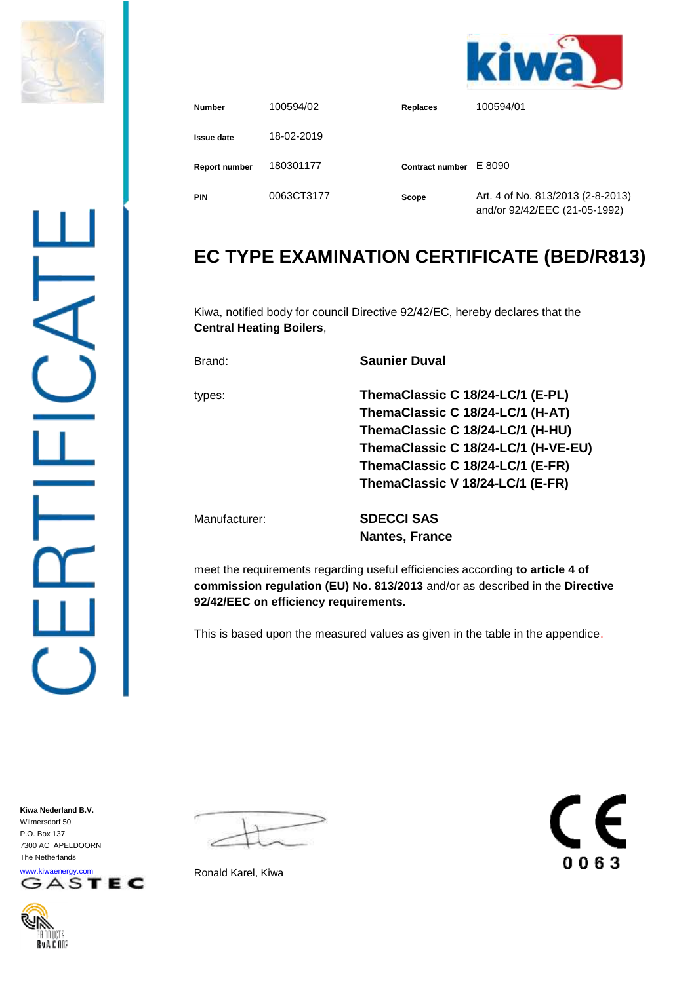



| <b>Number</b>        | 100594/02  | <b>Replaces</b>        | 100594/01                                                          |
|----------------------|------------|------------------------|--------------------------------------------------------------------|
| Issue date           | 18-02-2019 |                        |                                                                    |
| <b>Report number</b> | 180301177  | <b>Contract number</b> | E 8090                                                             |
| <b>PIN</b>           | 0063CT3177 | Scope                  | Art. 4 of No. 813/2013 (2-8-2013)<br>and/or 92/42/EEC (21-05-1992) |

## **EC TYPE EXAMINATION CERTIFICATE (BED/R813)**

Kiwa, notified body for council Directive 92/42/EC, hereby declares that the **Central Heating Boilers**,

Brand: **Saunier Duval**

types: **ThemaClassic C 18/24-LC/1 (E-PL) ThemaClassic C 18/24-LC/1 (H-AT) ThemaClassic C 18/24-LC/1 (H-HU) ThemaClassic C 18/24-LC/1 (H-VE-EU) ThemaClassic C 18/24-LC/1 (E-FR) ThemaClassic V 18/24-LC/1 (E-FR)** Manufacturer: **SDECCI SAS Nantes, France**

meet the requirements regarding useful efficiencies according **to article 4 of commission regulation (EU) No. 813/2013** and/or as described in the **Directive 92/42/EEC on efficiency requirements.**

This is based upon the measured values as given in the table in the appendice.

**Kiwa Nederland B.V.** Wilmersdorf 50 P.O. Box 137 7300 AC APELDOORN The Netherlands



דיווחו Ry A.C.OO'



F 0063

Ronald Karel, Kiwa